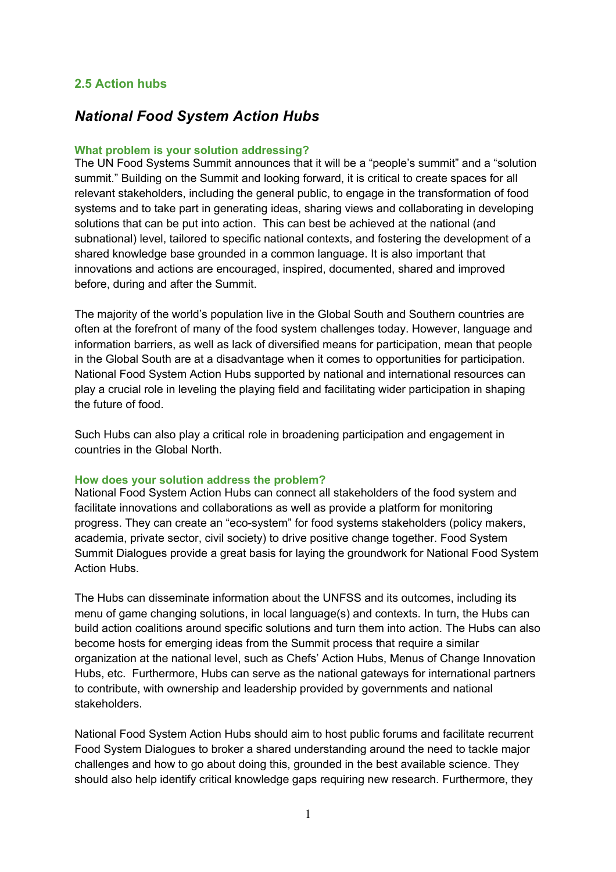## **2.5 Action hubs**

# *National Food System Action Hubs*

#### **What problem is your solution addressing?**

The UN Food Systems Summit announces that it will be a "people's summit" and a "solution summit." Building on the Summit and looking forward, it is critical to create spaces for all relevant stakeholders, including the general public, to engage in the transformation of food systems and to take part in generating ideas, sharing views and collaborating in developing solutions that can be put into action. This can best be achieved at the national (and subnational) level, tailored to specific national contexts, and fostering the development of a shared knowledge base grounded in a common language. It is also important that innovations and actions are encouraged, inspired, documented, shared and improved before, during and after the Summit.

The majority of the world's population live in the Global South and Southern countries are often at the forefront of many of the food system challenges today. However, language and information barriers, as well as lack of diversified means for participation, mean that people in the Global South are at a disadvantage when it comes to opportunities for participation. National Food System Action Hubs supported by national and international resources can play a crucial role in leveling the playing field and facilitating wider participation in shaping the future of food.

Such Hubs can also play a critical role in broadening participation and engagement in countries in the Global North.

#### **How does your solution address the problem?**

National Food System Action Hubs can connect all stakeholders of the food system and facilitate innovations and collaborations as well as provide a platform for monitoring progress. They can create an "eco-system" for food systems stakeholders (policy makers, academia, private sector, civil society) to drive positive change together. Food System Summit Dialogues provide a great basis for laying the groundwork for National Food System Action Hubs.

The Hubs can disseminate information about the UNFSS and its outcomes, including its menu of game changing solutions, in local language(s) and contexts. In turn, the Hubs can build action coalitions around specific solutions and turn them into action. The Hubs can also become hosts for emerging ideas from the Summit process that require a similar organization at the national level, such as Chefs' Action Hubs, Menus of Change Innovation Hubs, etc. Furthermore, Hubs can serve as the national gateways for international partners to contribute, with ownership and leadership provided by governments and national stakeholders.

National Food System Action Hubs should aim to host public forums and facilitate recurrent Food System Dialogues to broker a shared understanding around the need to tackle major challenges and how to go about doing this, grounded in the best available science. They should also help identify critical knowledge gaps requiring new research. Furthermore, they